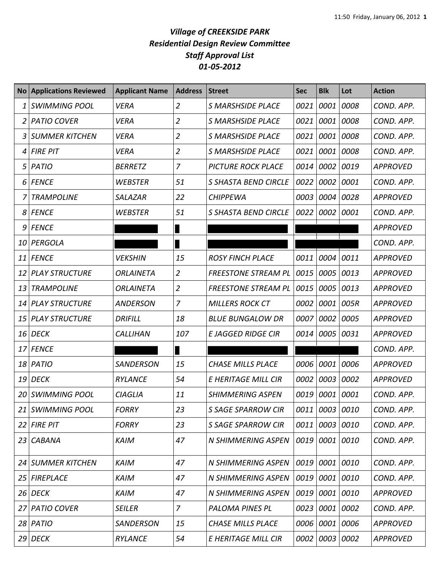## *Village of CREEKSIDE PARK Residential Design Review Committee Staff Approval List 01-05-2012*

|    | <b>No Applications Reviewed</b> | <b>Applicant Name</b> | <b>Address</b> | <b>Street</b>               | <b>Sec</b> | <b>Blk</b>     | Lot  | <b>Action</b>   |
|----|---------------------------------|-----------------------|----------------|-----------------------------|------------|----------------|------|-----------------|
| 1  | <b>SWIMMING POOL</b>            | <b>VERA</b>           | $\overline{2}$ | <b>S MARSHSIDE PLACE</b>    | 0021       | 0001           | 0008 | COND. APP.      |
| 2  | PATIO COVER                     | <b>VERA</b>           | $\overline{2}$ | <b>S MARSHSIDE PLACE</b>    | 0021       | 0001           | 0008 | COND. APP.      |
| 3  | <b>SUMMER KITCHEN</b>           | <b>VERA</b>           | $\overline{2}$ | S MARSHSIDE PLACE           | 0021       | 0001           | 0008 | COND. APP.      |
| 4  | <b>FIRE PIT</b>                 | <b>VERA</b>           | $\overline{2}$ | <b>S MARSHSIDE PLACE</b>    | 0021       | 0001           | 0008 | COND. APP.      |
| 5  | PATIO                           | <b>BERRETZ</b>        | 7              | <b>PICTURE ROCK PLACE</b>   | 0014       | 0002           | 0019 | <b>APPROVED</b> |
| 6  | <b>FENCE</b>                    | <b>WEBSTER</b>        | 51             | <b>S SHASTA BEND CIRCLE</b> | 0022       | 0002           | 0001 | COND. APP.      |
|    | <b>TRAMPOLINE</b>               | <b>SALAZAR</b>        | 22             | <b>CHIPPEWA</b>             | 0003       | 0004           | 0028 | <b>APPROVED</b> |
| 8  | <b>FENCE</b>                    | <b>WEBSTER</b>        | 51             | S SHASTA BEND CIRCLE        | 0022       | 0002           | 0001 | COND. APP.      |
| 9  | <b>FENCE</b>                    |                       |                |                             |            |                |      | <b>APPROVED</b> |
| 10 | PERGOLA                         |                       |                |                             |            |                |      | COND. APP.      |
| 11 | <b>FENCE</b>                    | <b>VEKSHIN</b>        | 15             | <b>ROSY FINCH PLACE</b>     | 0011       | 0004           | 0011 | <b>APPROVED</b> |
| 12 | <b>PLAY STRUCTURE</b>           | <b>ORLAINETA</b>      | $\overline{2}$ | <b>FREESTONE STREAM PL</b>  | 0015       | 0005           | 0013 | <b>APPROVED</b> |
| 13 | <b>TRAMPOLINE</b>               | <b>ORLAINETA</b>      | $\overline{2}$ | <b>FREESTONE STREAM PL</b>  | 0015       | 0005           | 0013 | <b>APPROVED</b> |
| 14 | <b>PLAY STRUCTURE</b>           | <b>ANDERSON</b>       | $\overline{7}$ | <b>MILLERS ROCK CT</b>      | 0002       | 0001           | 005R | <b>APPROVED</b> |
| 15 | <b>PLAY STRUCTURE</b>           | <b>DRIFILL</b>        | 18             | <b>BLUE BUNGALOW DR</b>     | 0007       | 0002           | 0005 | <b>APPROVED</b> |
| 16 | <b>DECK</b>                     | <b>CALLIHAN</b>       | 107            | <b>E JAGGED RIDGE CIR</b>   | 0014       | 0005           | 0031 | <b>APPROVED</b> |
| 17 | <b>FENCE</b>                    |                       |                |                             |            |                |      | COND. APP.      |
| 18 | PATIO                           | <b>SANDERSON</b>      | 15             | <b>CHASE MILLS PLACE</b>    | 0006       | 0001           | 0006 | <b>APPROVED</b> |
| 19 | <b>DECK</b>                     | <b>RYLANCE</b>        | 54             | E HERITAGE MILL CIR         | 0002       | 0003           | 0002 | <b>APPROVED</b> |
| 20 | SWIMMING POOL                   | <b>CIAGLIA</b>        | 11             | <b>SHIMMERING ASPEN</b>     | 0019       | 0001           | 0001 | COND. APP.      |
|    | 21 SWIMMING POOL                | <b>FORRY</b>          | 23             | <b>S SAGE SPARROW CIR</b>   |            | 0011 0003 0010 |      | COND. APP.      |
|    | $22$ FIRE PIT                   | <b>FORRY</b>          | 23             | <b>S SAGE SPARROW CIR</b>   |            | 0011 0003 0010 |      | COND. APP.      |
|    | 23 CABANA                       | <b>KAIM</b>           | 47             | N SHIMMERING ASPEN          |            | 0019 0001 0010 |      | COND. APP.      |
|    | 24 SUMMER KITCHEN               | <b>KAIM</b>           | 47             | N SHIMMERING ASPEN          | 0019       | 0001 0010      |      | COND. APP.      |
| 25 | FIREPLACE                       | <b>KAIM</b>           | 47             | <b>N SHIMMERING ASPEN</b>   | 0019       | 0001 0010      |      | COND. APP.      |
|    | 26 DECK                         | <b>KAIM</b>           | 47             | <b>N SHIMMERING ASPEN</b>   | 0019       | 0001 0010      |      | <b>APPROVED</b> |
| 27 | <b>PATIO COVER</b>              | <b>SEILER</b>         | $\overline{z}$ | PALOMA PINES PL             | 0023       | 0001 0002      |      | COND. APP.      |
|    | 28 PATIO                        | <b>SANDERSON</b>      | 15             | <b>CHASE MILLS PLACE</b>    |            | 0006 0001 0006 |      | <b>APPROVED</b> |
|    | $29$ DECK                       | <b>RYLANCE</b>        | 54             | E HERITAGE MILL CIR         |            | 0002 0003 0002 |      | <b>APPROVED</b> |